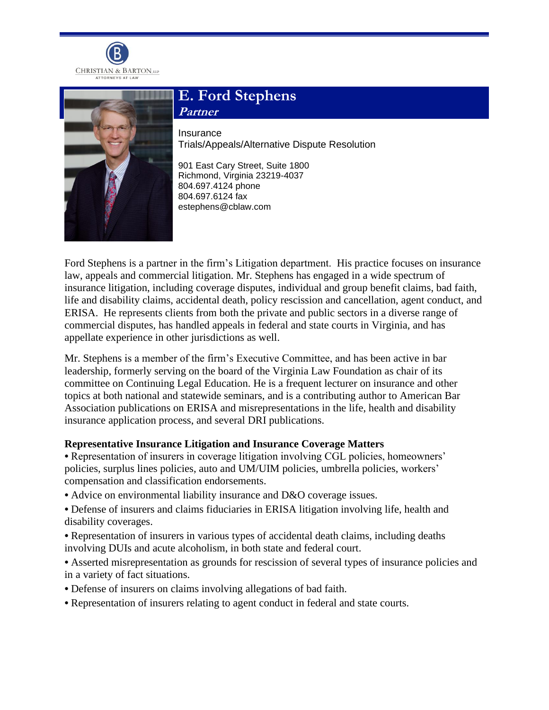



# **E. Ford Stephens**

**Partner**

Insurance Trials/Appeals/Alternative Dispute Resolution

901 East Cary Street, Suite 1800 Richmond, Virginia 23219-4037 804.697.4124 phone 804.697.6124 fax estephens@cblaw.com

Ford Stephens is a partner in the firm's Litigation department. His practice focuses on insurance law, appeals and commercial litigation. Mr. Stephens has engaged in a wide spectrum of insurance litigation, including coverage disputes, individual and group benefit claims, bad faith, life and disability claims, accidental death, policy rescission and cancellation, agent conduct, and ERISA. He represents clients from both the private and public sectors in a diverse range of commercial disputes, has handled appeals in federal and state courts in Virginia, and has appellate experience in other jurisdictions as well.

Mr. Stephens is a member of the firm's Executive Committee, and has been active in bar leadership, formerly serving on the board of the Virginia Law Foundation as chair of its committee on Continuing Legal Education. He is a frequent lecturer on insurance and other topics at both national and statewide seminars, and is a contributing author to American Bar Association publications on ERISA and misrepresentations in the life, health and disability insurance application process, and several DRI publications.

# **Representative Insurance Litigation and Insurance Coverage Matters**

• Representation of insurers in coverage litigation involving CGL policies, homeowners' policies, surplus lines policies, auto and UM/UIM policies, umbrella policies, workers' compensation and classification endorsements.

- *•* Advice on environmental liability insurance and D&O coverage issues.
- *•* Defense of insurers and claims fiduciaries in ERISA litigation involving life, health and disability coverages.
- *•* Representation of insurers in various types of accidental death claims, including deaths involving DUIs and acute alcoholism, in both state and federal court.
- Asserted misrepresentation as grounds for rescission of several types of insurance policies and in a variety of fact situations.
- *•* Defense of insurers on claims involving allegations of bad faith.
- *•* Representation of insurers relating to agent conduct in federal and state courts.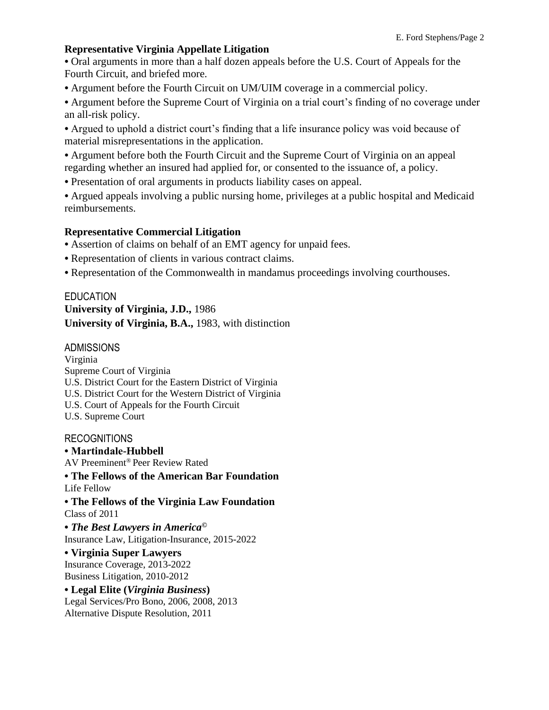#### **Representative Virginia Appellate Litigation**

*•* Oral arguments in more than a half dozen appeals before the U.S. Court of Appeals for the Fourth Circuit, and briefed more.

*•* Argument before the Fourth Circuit on UM/UIM coverage in a commercial policy.

• Argument before the Supreme Court of Virginia on a trial court's finding of no coverage under an all-risk policy.

*•* Argued to uphold a district court's finding that a life insurance policy was void because of material misrepresentations in the application.

*•* Argument before both the Fourth Circuit and the Supreme Court of Virginia on an appeal regarding whether an insured had applied for, or consented to the issuance of, a policy.

*•* Presentation of oral arguments in products liability cases on appeal.

*•* Argued appeals involving a public nursing home, privileges at a public hospital and Medicaid reimbursements.

#### **Representative Commercial Litigation**

*•* Assertion of claims on behalf of an EMT agency for unpaid fees.

- *•* Representation of clients in various contract claims.
- Representation of the Commonwealth in mandamus proceedings involving courthouses.

#### **EDUCATION**

**University of Virginia, J.D.,** 1986 **University of Virginia, B.A.,** 1983, with distinction

#### ADMISSIONS

Virginia Supreme Court of Virginia U.S. District Court for the Eastern District of Virginia U.S. District Court for the Western District of Virginia U.S. Court of Appeals for the Fourth Circuit U.S. Supreme Court

#### **RECOGNITIONS**

**• Martindale-Hubbell** AV Preeminent® Peer Review Rated

**• The Fellows of the American Bar Foundation** Life Fellow

**• The Fellows of the Virginia Law Foundation** Class of 2011

**•** *The Best Lawyers in America©* Insurance Law, Litigation-Insurance, 2015-2022

**• Virginia Super Lawyers** Insurance Coverage, 2013-2022 Business Litigation, 2010-2012

**• Legal Elite (***Virginia Business***)** Legal Services/Pro Bono, 2006, 2008, 2013 Alternative Dispute Resolution, 2011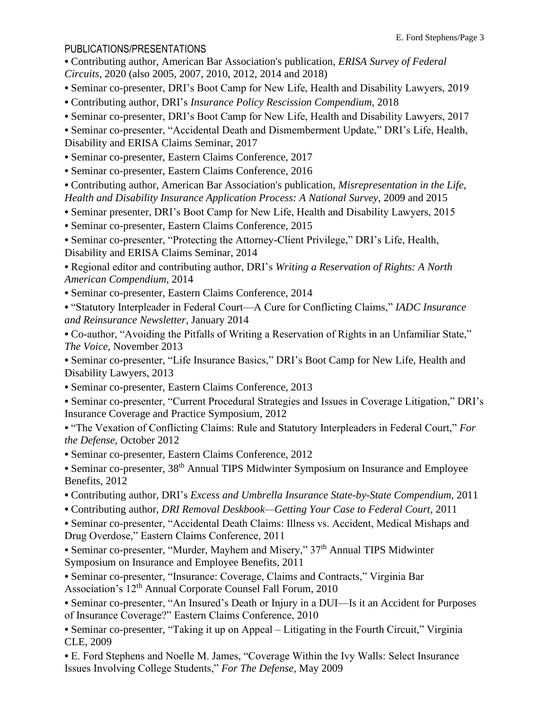# PUBLICATIONS/PRESENTATIONS

*•* Contributing author, American Bar Association's publication, *ERISA Survey of Federal Circuits*, 2020 (also 2005, 2007, 2010, 2012, 2014 and 2018)

- *•* Seminar co-presenter, DRI's Boot Camp for New Life, Health and Disability Lawyers, 2019
- *•* Contributing author, DRI's *Insurance Policy Rescission Compendium,* 2018
- *•* Seminar co-presenter, DRI's Boot Camp for New Life, Health and Disability Lawyers, 2017

*•* Seminar co-presenter, "Accidental Death and Dismemberment Update," DRI's Life, Health, Disability and ERISA Claims Seminar, 2017

*•* Seminar co-presenter, Eastern Claims Conference, 2017

*•* Seminar co-presenter, Eastern Claims Conference, 2016

*•* Contributing author, American Bar Association's publication, *Misrepresentation in the Life, Health and Disability Insurance Application Process: A National Survey*, 2009 and 2015

*•* Seminar presenter, DRI's Boot Camp for New Life, Health and Disability Lawyers, 2015

*•* Seminar co-presenter, Eastern Claims Conference, 2015

*•* Seminar co-presenter, "Protecting the Attorney-Client Privilege," DRI's Life, Health, Disability and ERISA Claims Seminar, 2014

*•* Regional editor and contributing author, DRI's *Writing a Reservation of Rights: A North American Compendium*, 2014

*•* Seminar co-presenter, Eastern Claims Conference, 2014

*•* "Statutory Interpleader in Federal Court—A Cure for Conflicting Claims," *IADC Insurance and Reinsurance Newsletter*, January 2014

*•* Co-author, "Avoiding the Pitfalls of Writing a Reservation of Rights in an Unfamiliar State," *The Voice,* November 2013

*•* Seminar co-presenter, "Life Insurance Basics," DRI's Boot Camp for New Life, Health and Disability Lawyers, 2013

*•* Seminar co-presenter, Eastern Claims Conference, 2013

*•* Seminar co-presenter, "Current Procedural Strategies and Issues in Coverage Litigation," DRI's Insurance Coverage and Practice Symposium, 2012

*•* "The Vexation of Conflicting Claims: Rule and Statutory Interpleaders in Federal Court," *For the Defense,* October 2012

*•* Seminar co-presenter, Eastern Claims Conference, 2012

• Seminar co-presenter, 38<sup>th</sup> Annual TIPS Midwinter Symposium on Insurance and Employee Benefits, 2012

- *•* Contributing author, DRI's *Excess and Umbrella Insurance State-by-State Compendium,* 2011
- *•* Contributing author, *DRI Removal Deskbook—Getting Your Case to Federal Court,* 2011

*•* Seminar co-presenter, "Accidental Death Claims: Illness vs. Accident, Medical Mishaps and Drug Overdose," Eastern Claims Conference, 2011

• Seminar co-presenter, "Murder, Mayhem and Misery," 37<sup>th</sup> Annual TIPS Midwinter Symposium on Insurance and Employee Benefits, 2011

*•* Seminar co-presenter, "Insurance: Coverage, Claims and Contracts," Virginia Bar Association's 12th Annual Corporate Counsel Fall Forum, 2010

*•* Seminar co-presenter, "An Insured's Death or Injury in a DUI—Is it an Accident for Purposes of Insurance Coverage?" Eastern Claims Conference, 2010

• Seminar co-presenter, "Taking it up on Appeal – Litigating in the Fourth Circuit," Virginia CLE, 2009

*•* E. Ford Stephens and Noelle M. James, "Coverage Within the Ivy Walls: Select Insurance Issues Involving College Students," *For The Defense,* May 2009